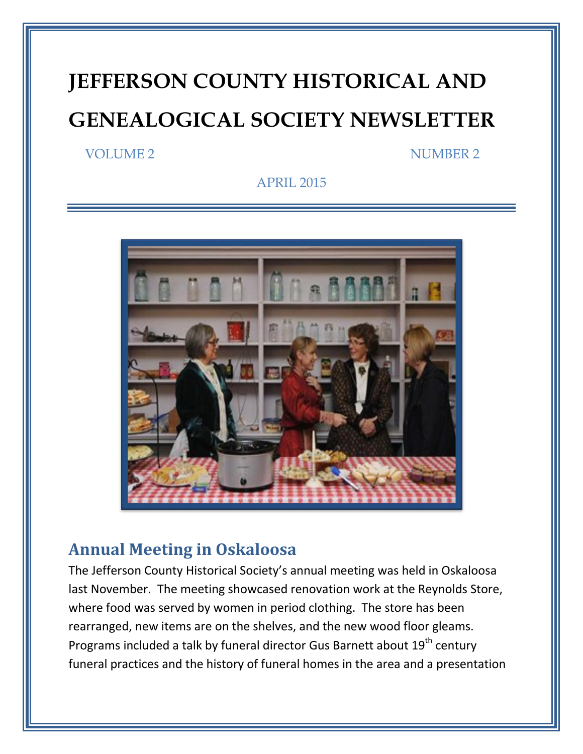# **JEFFERSON COUNTY HISTORICAL AND GENEALOGICAL SOCIETY NEWSLETTER**

#### VOLUME 2 NUMBER 2

APRIL 2015



### **Annual Meeting in Oskaloosa**

The Jefferson County Historical Society's annual meeting was held in Oskaloosa last November. The meeting showcased renovation work at the Reynolds Store, where food was served by women in period clothing. The store has been rearranged, new items are on the shelves, and the new wood floor gleams. Programs included a talk by funeral director Gus Barnett about 19<sup>th</sup> century funeral practices and the history of funeral homes in the area and a presentation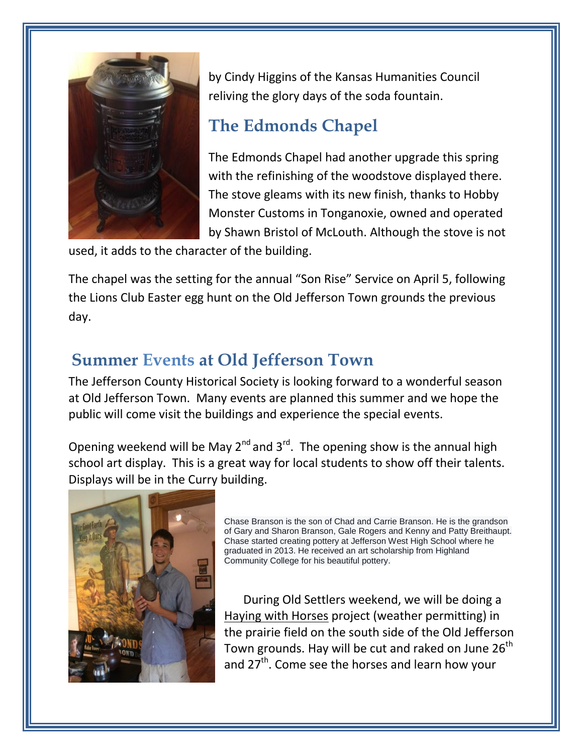

by Cindy Higgins of the Kansas Humanities Council reliving the glory days of the soda fountain.

# **The Edmonds Chapel**

The Edmonds Chapel had another upgrade this spring with the refinishing of the woodstove displayed there. The stove gleams with its new finish, thanks to Hobby Monster Customs in Tonganoxie, owned and operated by Shawn Bristol of McLouth. Although the stove is not

used, it adds to the character of the building.

The chapel was the setting for the annual "Son Rise" Service on April 5, following the Lions Club Easter egg hunt on the Old Jefferson Town grounds the previous day.

# **Summer Events at Old Jefferson Town**

The Jefferson County Historical Society is looking forward to a wonderful season at Old Jefferson Town. Many events are planned this summer and we hope the public will come visit the buildings and experience the special events.

Opening weekend will be May  $2^{nd}$  and  $3^{rd}$ . The opening show is the annual high school art display. This is a great way for local students to show off their talents. Displays will be in the Curry building.



Chase Branson is the son of Chad and Carrie Branson. He is the grandson of Gary and Sharon Branson, Gale Rogers and Kenny and Patty Breithaupt. Chase started creating pottery at Jefferson West High School where he graduated in 2013. He received an art scholarship from Highland Community College for his beautiful pottery.

 During Old Settlers weekend, we will be doing a Haying with Horses project (weather permitting) in the prairie field on the south side of the Old Jefferson Town grounds. Hay will be cut and raked on June 26<sup>th</sup> and 27<sup>th</sup>. Come see the horses and learn how your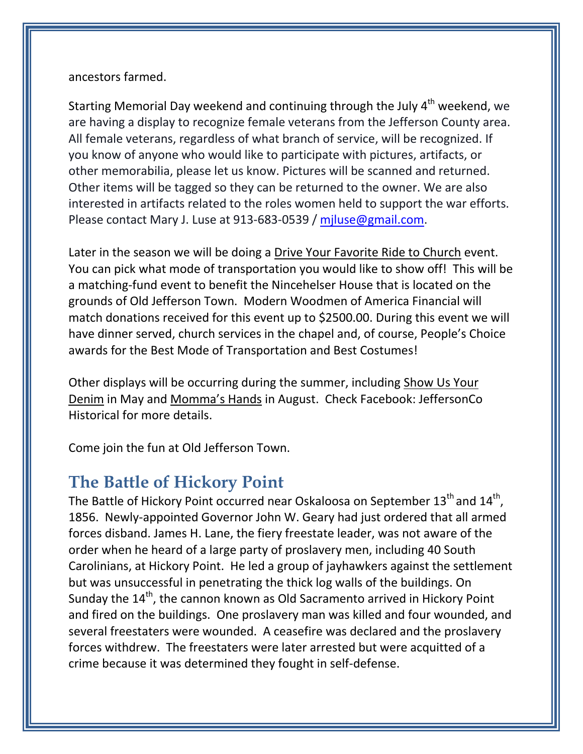#### ancestors farmed.

Starting Memorial Day weekend and continuing through the July  $4<sup>th</sup>$  weekend, we are having a display to recognize female veterans from the Jefferson County area. All female veterans, regardless of what branch of service, will be recognized. If you know of anyone who would like to participate with pictures, artifacts, or other memorabilia, please let us know. Pictures will be scanned and returned. Other items will be tagged so they can be returned to the owner. We are also interested in artifacts related to the roles women held to support the war efforts. Please contact Mary J. Luse at 913-683-0539 / [mjluse@gmail.com.](mailto:mjluse@gmail.com)

Later in the season we will be doing a Drive Your Favorite Ride to Church event. You can pick what mode of transportation you would like to show off! This will be a matching-fund event to benefit the Nincehelser House that is located on the grounds of Old Jefferson Town. Modern Woodmen of America Financial will match donations received for this event up to \$2500.00. During this event we will have dinner served, church services in the chapel and, of course, People's Choice awards for the Best Mode of Transportation and Best Costumes!

Other displays will be occurring during the summer, including Show Us Your Denim in May and Momma's Hands in August. Check Facebook: JeffersonCo Historical for more details.

Come join the fun at Old Jefferson Town.

### **The Battle of Hickory Point**

The Battle of Hickory Point occurred near Oskaloosa on September 13<sup>th</sup> and 14<sup>th</sup>, 1856. Newly-appointed Governor John W. Geary had just ordered that all armed forces disband. James H. Lane, the fiery freestate leader, was not aware of the order when he heard of a large party of proslavery men, including 40 South Carolinians, at Hickory Point. He led a group of jayhawkers against the settlement but was unsuccessful in penetrating the thick log walls of the buildings. On Sunday the  $14^{\text{th}}$ , the cannon known as Old Sacramento arrived in Hickory Point and fired on the buildings. One proslavery man was killed and four wounded, and several freestaters were wounded. A ceasefire was declared and the proslavery forces withdrew. The freestaters were later arrested but were acquitted of a crime because it was determined they fought in self-defense.